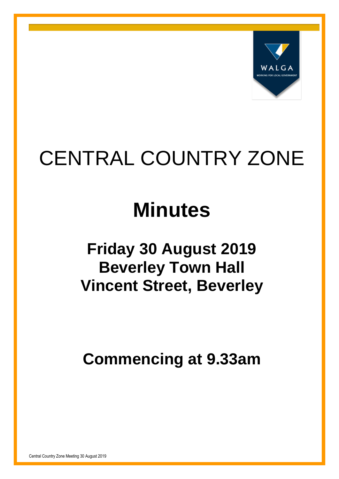

# CENTRAL COUNTRY ZONE

## **Minutes**

## **Friday 30 August 2019 Beverley Town Hall Vincent Street, Beverley**

**Commencing at 9.33am**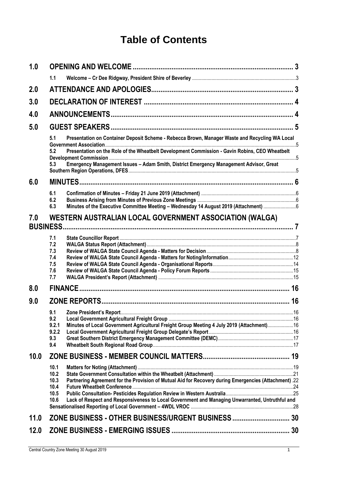## **Table of Contents**

| 1.0  |                                                                                                                       |  |
|------|-----------------------------------------------------------------------------------------------------------------------|--|
|      | 1.1                                                                                                                   |  |
| 2.0  |                                                                                                                       |  |
| 3.0  |                                                                                                                       |  |
| 4.0  |                                                                                                                       |  |
| 5.0  |                                                                                                                       |  |
|      | Presentation on Container Deposit Scheme - Rebecca Brown, Manager Waste and Recycling WA Local<br>5.1                 |  |
|      | Presentation on the Role of the Wheatbelt Development Commission - Gavin Robins, CEO Wheatbelt<br>5.2                 |  |
|      | Emergency Management Issues - Adam Smith, District Emergency Management Advisor, Great<br>5.3                         |  |
| 6.0  |                                                                                                                       |  |
|      | 6.1                                                                                                                   |  |
|      | 6.2<br>Minutes of the Executive Committee Meeting - Wednesday 14 August 2019 (Attachment) 6<br>6.3                    |  |
| 7.0  | WESTERN AUSTRALIAN LOCAL GOVERNMENT ASSOCIATION (WALGA)                                                               |  |
|      | <b>BUSINESS.</b>                                                                                                      |  |
|      | 7.1                                                                                                                   |  |
|      | 7.2<br>7.3                                                                                                            |  |
|      | 7.4                                                                                                                   |  |
|      | 7.5                                                                                                                   |  |
|      | 7.6<br>7.7                                                                                                            |  |
| 8.0  |                                                                                                                       |  |
| 9.0  |                                                                                                                       |  |
|      | 9.1                                                                                                                   |  |
|      | 9.2                                                                                                                   |  |
|      | Minutes of Local Government Agricultural Freight Group Meeting 4 July 2019 (Attachment)16<br>9.2.1<br>9.2.2           |  |
|      | 9.3                                                                                                                   |  |
|      | 9.4                                                                                                                   |  |
| 10.0 |                                                                                                                       |  |
|      | 10.1                                                                                                                  |  |
|      | 10.2<br>Partnering Agreement for the Provision of Mutual Aid for Recovery during Emergencies (Attachment) .22<br>10.3 |  |
|      | 10.4                                                                                                                  |  |
|      | 10.5                                                                                                                  |  |
|      | Lack of Respect and Responsiveness to Local Government and Managing Unwarranted, Untruthful and<br>10.6               |  |
| 11.0 | ZONE BUSINESS - OTHER BUSINESS/URGENT BUSINESS  30                                                                    |  |
|      |                                                                                                                       |  |
| 12.0 |                                                                                                                       |  |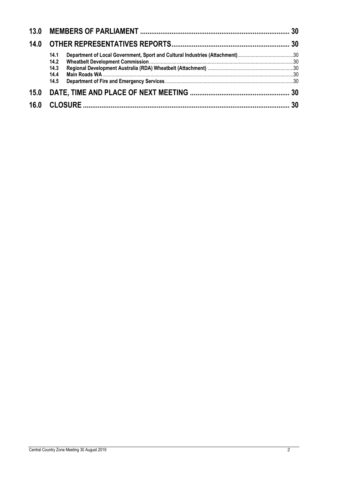| 14.0 |              |  |
|------|--------------|--|
|      | 14.1<br>14.2 |  |
|      | 14.3<br>14.4 |  |
|      | 14.5         |  |
| 15.0 |              |  |
| 16.0 |              |  |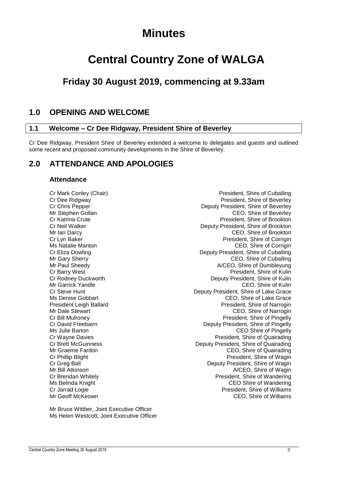## **Minutes**

## **Central Country Zone of WALGA**

## **Friday 30 August 2019, commencing at 9.33am**

## <span id="page-3-0"></span>**1.0 OPENING AND WELCOME**

#### <span id="page-3-1"></span>**1.1 Welcome – Cr Dee Ridgway, President Shire of Beverley**

Cr Dee Ridgway, President Shire of Beverley extended a welcome to delegates and guests and outlined some recent and proposed community developments in the Shire of Beverley.

## <span id="page-3-2"></span>**2.0 ATTENDANCE AND APOLOGIES**

#### **Attendance**

Mr Geoff McKeown CEO, Shire of Williams

Cr Mark Conley (Chair) **President**, Shire of Cuballing Cr Dee Ridgway President, Shire of Beverley Cr Chris Pepper Deputy President, Shire of Beverley Mr Stephen Gollan CEO, Shire of Beverley Cr Katrina Crute President, Shire of Brookton Cr Neil Walker Deputy President, Shire of Brookton Mr Ian Darcy CEO, Shire of Brookton Cr Lyn Baker **President, Shire of Corrigin** President, Shire of Corrigin Ms Natalie Manton CEO, Shire of Corrigin Cr Eliza Dowling **Creative Creative Creative Creative Creative Creative Creative Creative Creative Creative Creative Creative Creative Creative Creative Creative Creative Creative Creative Creative Creative Creative Creati** Mr Gary Sherry CEO, Shire of Cuballing<br>Mr Paul Sheedy CEO, Shire of Cuballing<br>Mr Paul Sheedy Ceo, Shire of Dumbleyung Mr Paul Sheedy A/CEO, Shire of Dumbleyung Cr Barry West (Cr Barry West ) and the Creation of Kulin (Cr Barry West ) and the Cr Barry West (Cr Bodies ) and Cr Benut (Cr Bodies ) and Cr Benut (Cr Bodies ) and Cr Benut (Cr Bodies ) and Cr Benut (Cr Bodies ) and Cr Bo Cr Rodney Duckworth **Cream Cream Cream Cream Cream Cream Cream Cream Cream Cream Cream Cream Cream Cream Cream Cream Cream Cream Cream Cream Cream Cream Cream Cream Cream Cream Cream Cream Cream Cream Cream Cream Cream Cre** Mr Garrick Yandle CEO, Shire of Kulin<br>Cr Steve Hunt Cr Steve Hunt Cr Steve Hunt Deputy President, Shire of Lake Grace Ms Denise Gobbart CEO, Shire of Lake Grace President Leigh Ballard President, Shire of Narrogin Mr Dale Stewart CEO, Shire of Narrogin CEO, Shire of Narrogin Cr Bill Mulroney President, Shire of Pingelly Cr David Freebairn **Deputy President, Shire of Pingelly** Ms Julie Barton **CEO** Shire of Pingelly Cr Wayne Davies President, Shire of Quairading Cr Brett McGuinness **Deputy President, Shire of Quairading** Mr Graeme Fardon CEO, Shire of Quairading Cr Phillip Blight **President, Shire of Wagin** President, Shire of Wagin Cr Greg Ball **Cr Greg Ball** Deputy President, Shire of Wagin Mr Bill Atkinson **A/CEO**, Shire of Wagin Cr Brendan Whitely President, Shire of Wandering Ms Belinda Knight CEO Shire of Wandering Cr Jarrad Logie **President, Shire of Williams** 

Mr Bruce Wittber, Joint Executive Officer Ms Helen Westcott, Joint Executive Officer

Central Country Zone Meeting 30 August 2019 3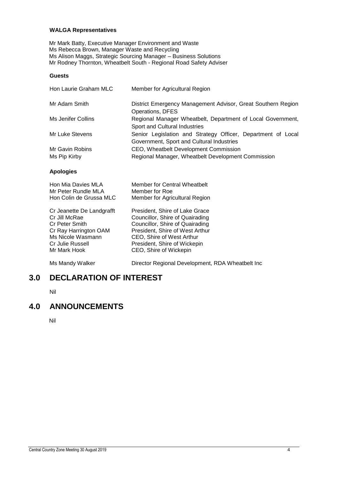#### **WALGA Representatives**

Mr Mark Batty, Executive Manager Environment and Waste Ms Rebecca Brown, Manager Waste and Recycling Ms Alison Maggs, Strategic Sourcing Manager – Business Solutions Mr Rodney Thornton, Wheatbelt South - Regional Road Safety Adviser

#### **Guests**

| Hon Laurie Graham MLC                          | Member for Agricultural Region                                                                            |
|------------------------------------------------|-----------------------------------------------------------------------------------------------------------|
| Mr Adam Smith                                  | District Emergency Management Advisor, Great Southern Region<br>Operations, DFES                          |
| Ms Jenifer Collins                             | Regional Manager Wheatbelt, Department of Local Government,<br>Sport and Cultural Industries              |
| Mr Luke Stevens                                | Senior Legislation and Strategy Officer, Department of Local<br>Government, Sport and Cultural Industries |
| Mr Gavin Robins                                | CEO, Wheatbelt Development Commission                                                                     |
| Ms Pip Kirby                                   | Regional Manager, Wheatbelt Development Commission                                                        |
| <b>Apologies</b>                               |                                                                                                           |
| Hon Mia Davies MLA<br>Mr Peter Rundle MLA      | Member for Central Wheatbelt<br>Member for Roe                                                            |
| Hon Colin de Grussa MLC                        | Member for Agricultural Region                                                                            |
| Cr Jeanette De Landgrafft                      | President, Shire of Lake Grace                                                                            |
| Cr Jill McRae                                  | Councillor, Shire of Quairading                                                                           |
| <b>Cr Peter Smith</b><br>Cr Ray Harrington OAM | Councillor, Shire of Quairading<br>President, Shire of West Arthur                                        |
| Ms Nicole Wasmann                              | CEO, Shire of West Arthur                                                                                 |
| Cr Julie Russell                               | President, Shire of Wickepin                                                                              |

Ms Mandy Walker **Director Regional Development, RDA Wheatbelt Inc** 

### <span id="page-4-0"></span>**3.0 DECLARATION OF INTEREST**

Mr Mark Hook CEO, Shire of Wickepin

Nil

## <span id="page-4-1"></span>**4.0 ANNOUNCEMENTS**

Nil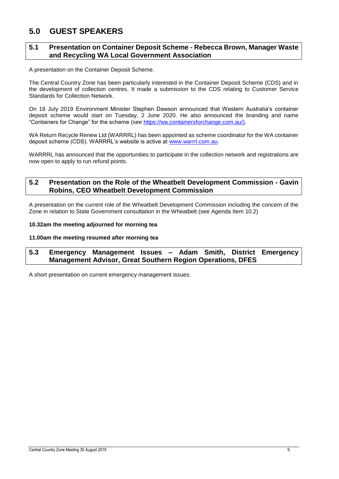## <span id="page-5-0"></span>**5.0 GUEST SPEAKERS**

#### <span id="page-5-1"></span>**5.1 Presentation on Container Deposit Scheme - Rebecca Brown, Manager Waste and Recycling WA Local Government Association**

A presentation on the Container Deposit Scheme.

The Central Country Zone has been particularly interested in the Container Deposit Scheme (CDS) and in the development of collection centres. It made a submission to the CDS relating to Customer Service Standards for Collection Network.

On 18 July 2019 Environment Minister Stephen Dawson announced that Western Australia's container deposit scheme would start on Tuesday, 2 June 2020. He also announced the branding and name "Containers for Change" for the scheme (see [https://wa.containersforchange.com.au/\)](https://wa.containersforchange.com.au/).

WA Return Recycle Renew Ltd (WARRRL) has been appointed as scheme coordinator for the WA container deposit scheme (CDS). WARRRL's website is active at [www.warrrl.com.au.](http://www.warrrl.com.au/)

WARRRL has announced that the opportunities to participate in the collection network and registrations are now open to apply to run refund points.

#### <span id="page-5-2"></span>**5.2 Presentation on the Role of the Wheatbelt Development Commission - Gavin Robins, CEO Wheatbelt Development Commission**

A presentation on the current role of the Wheatbelt Development Commission including the concern of the Zone in relation to State Government consultation in the Wheatbelt (see Agenda Item 10.2)

#### **10.32am the meeting adjourned for morning tea**

#### **11.00am the meeting resumed after morning tea**

#### <span id="page-5-3"></span>**5.3 Emergency Management Issues – Adam Smith, District Emergency Management Advisor, Great Southern Region Operations, DFES**

A short presentation on current emergency management issues.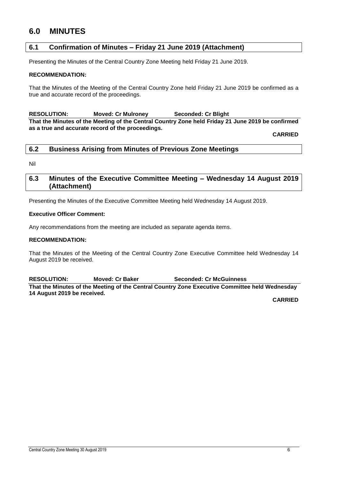## <span id="page-6-0"></span>**6.0 MINUTES**

#### <span id="page-6-1"></span>**6.1 Confirmation of Minutes – Friday 21 June 2019 (Attachment)**

Presenting the Minutes of the Central Country Zone Meeting held Friday 21 June 2019.

#### **RECOMMENDATION:**

That the Minutes of the Meeting of the Central Country Zone held Friday 21 June 2019 be confirmed as a true and accurate record of the proceedings.

**RESOLUTION: Moved: Cr Mulroney Seconded: Cr Blight That the Minutes of the Meeting of the Central Country Zone held Friday 21 June 2019 be confirmed as a true and accurate record of the proceedings.**

**CARRIED**

#### <span id="page-6-2"></span>**6.2 Business Arising from Minutes of Previous Zone Meetings**

Nil

#### <span id="page-6-3"></span>**6.3 Minutes of the Executive Committee Meeting – Wednesday 14 August 2019 (Attachment)**

Presenting the Minutes of the Executive Committee Meeting held Wednesday 14 August 2019.

#### **Executive Officer Comment:**

Any recommendations from the meeting are included as separate agenda items.

#### **RECOMMENDATION:**

That the Minutes of the Meeting of the Central Country Zone Executive Committee held Wednesday 14 August 2019 be received.

**RESOLUTION: Moved: Cr Baker Seconded: Cr McGuinness That the Minutes of the Meeting of the Central Country Zone Executive Committee held Wednesday 14 August 2019 be received.**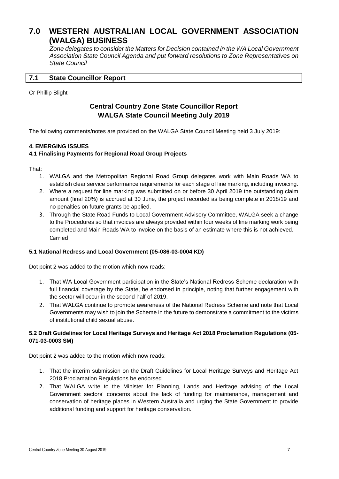## <span id="page-7-0"></span>**7.0 WESTERN AUSTRALIAN LOCAL GOVERNMENT ASSOCIATION (WALGA) BUSINESS**

*Zone delegates to consider the Matters for Decision contained in the WA Local Government Association State Council Agenda and put forward resolutions to Zone Representatives on State Council*

#### <span id="page-7-1"></span>**7.1 State Councillor Report**

#### Cr Phillip Blight

### **Central Country Zone State Councillor Report WALGA State Council Meeting July 2019**

The following comments/notes are provided on the WALGA State Council Meeting held 3 July 2019:

#### **4. EMERGING ISSUES**

#### **4.1 Finalising Payments for Regional Road Group Projects**

That:

- 1. WALGA and the Metropolitan Regional Road Group delegates work with Main Roads WA to establish clear service performance requirements for each stage of line marking, including invoicing.
- 2. Where a request for line marking was submitted on or before 30 April 2019 the outstanding claim amount (final 20%) is accrued at 30 June, the project recorded as being complete in 2018/19 and no penalties on future grants be applied.
- 3. Through the State Road Funds to Local Government Advisory Committee, WALGA seek a change to the Procedures so that invoices are always provided within four weeks of line marking work being completed and Main Roads WA to invoice on the basis of an estimate where this is not achieved. Carried

#### **5.1 National Redress and Local Government (05-086-03-0004 KD)**

Dot point 2 was added to the motion which now reads:

- 1. That WA Local Government participation in the State's National Redress Scheme declaration with full financial coverage by the State, be endorsed in principle, noting that further engagement with the sector will occur in the second half of 2019.
- 2. That WALGA continue to promote awareness of the National Redress Scheme and note that Local Governments may wish to join the Scheme in the future to demonstrate a commitment to the victims of institutional child sexual abuse.

#### **5.2 Draft Guidelines for Local Heritage Surveys and Heritage Act 2018 Proclamation Regulations (05- 071-03-0003 SM)**

Dot point 2 was added to the motion which now reads:

- 1. That the interim submission on the Draft Guidelines for Local Heritage Surveys and Heritage Act 2018 Proclamation Regulations be endorsed.
- 2. That WALGA write to the Minister for Planning, Lands and Heritage advising of the Local Government sectors' concerns about the lack of funding for maintenance, management and conservation of heritage places in Western Australia and urging the State Government to provide additional funding and support for heritage conservation.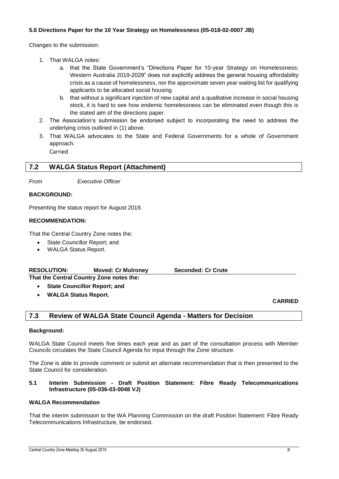#### **5.6 Directions Paper for the 10 Year Strategy on Homelessness (05-018-02-0007 JB)**

Changes to the submission:

- 1. That WALGA notes:
	- a. that the State Government's "Directions Paper for 10-year Strategy on Homelessness: Western Australia 2019-2029" does not explicitly address the general housing affordability crisis as a cause of homelessness, nor the approximate seven year waiting list for qualifying applicants to be allocated social housing
	- b. that without a significant injection of new capital and a qualitative increase in social housing stock, it is hard to see how endemic homelessness can be eliminated even though this is the stated aim of the directions paper.
- 2. The Association's submission be endorsed subject to incorporating the need to address the underlying crisis outlined in (1) above.
- 3. That WALGA advocates to the State and Federal Governments for a whole of Government approach.

Carried

#### <span id="page-8-0"></span>**7.2 WALGA Status Report (Attachment)**

*From Executive Officer*

#### **BACKGROUND:**

Presenting the status report for August 2019.

#### **RECOMMENDATION:**

That the Central Country Zone notes the:

- State Councillor Report; and
- WALGA Status Report.

| <b>RESOLUTION:</b> | <b>Moved: Cr Mulroney</b> | <b>Seconded: Cr Crute</b> |
|--------------------|---------------------------|---------------------------|
|--------------------|---------------------------|---------------------------|

**That the Central Country Zone notes the: State Councillor Report; and**

**WALGA Status Report.**

#### **CARRIED**

#### <span id="page-8-1"></span>**7.3 Review of WALGA State Council Agenda - Matters for Decision**

#### **Background:**

WALGA State Council meets five times each year and as part of the consultation process with Member Councils circulates the State Council Agenda for input through the Zone structure.

The Zone is able to provide comment or submit an alternate recommendation that is then presented to the State Council for consideration.

#### **5.1 Interim Submission - Draft Position Statement: Fibre Ready Telecommunications Infrastructure (05-036-03-0048 VJ)**

#### **WALGA Recommendation**

That the interim submission to the WA Planning Commission on the draft Position Statement: Fibre Ready Telecommunications Infrastructure, be endorsed.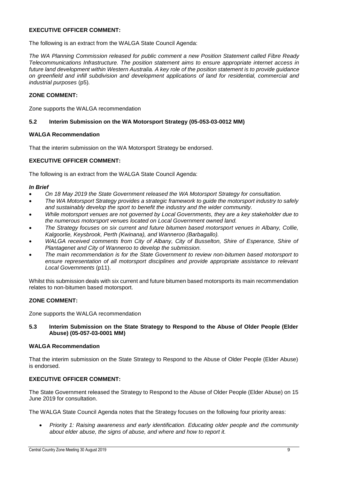#### **EXECUTIVE OFFICER COMMENT:**

The following is an extract from the WALGA State Council Agenda:

*The WA Planning Commission released for public comment a new Position Statement called Fibre Ready Telecommunications Infrastructure. The position statement aims to ensure appropriate internet access in future land development within Western Australia. A key role of the position statement is to provide guidance on greenfield and infill subdivision and development applications of land for residential, commercial and industrial purposes* (p5)*.*

#### **ZONE COMMENT:**

Zone supports the WALGA recommendation

#### **5.2 Interim Submission on the WA Motorsport Strategy (05-053-03-0012 MM)**

#### **WALGA Recommendation**

That the interim submission on the WA Motorsport Strategy be endorsed.

#### **EXECUTIVE OFFICER COMMENT:**

The following is an extract from the WALGA State Council Agenda:

#### *In Brief*

- *On 18 May 2019 the State Government released the WA Motorsport Strategy for consultation.*
- *The WA Motorsport Strategy provides a strategic framework to guide the motorsport industry to safely and sustainably develop the sport to benefit the industry and the wider community.*
- *While motorsport venues are not governed by Local Governments, they are a key stakeholder due to the numerous motorsport venues located on Local Government owned land.*
- *The Strategy focuses on six current and future bitumen based motorsport venues in Albany, Collie, Kalgoorlie, Keysbrook, Perth (Kwinana), and Wanneroo (Barbagallo).*
- *WALGA received comments from City of Albany, City of Busselton, Shire of Esperance, Shire of Plantagenet and City of Wanneroo to develop the submission.*
- *The main recommendation is for the State Government to review non-bitumen based motorsport to ensure representation of all motorsport disciplines and provide appropriate assistance to relevant Local Governments* (p11).

Whilst this submission deals with six current and future bitumen based motorsports its main recommendation relates to non-bitumen based motorsport.

#### **ZONE COMMENT:**

Zone supports the WALGA recommendation

#### **5.3 Interim Submission on the State Strategy to Respond to the Abuse of Older People (Elder Abuse) (05-057-03-0001 MM)**

#### **WALGA Recommendation**

That the interim submission on the State Strategy to Respond to the Abuse of Older People (Elder Abuse) is endorsed.

#### **EXECUTIVE OFFICER COMMENT:**

The State Government released the Strategy to Respond to the Abuse of Older People (Elder Abuse) on 15 June 2019 for consultation.

The WALGA State Council Agenda notes that the Strategy focuses on the following four priority areas:

 *Priority 1: Raising awareness and early identification. Educating older people and the community about elder abuse, the signs of abuse, and where and how to report it.*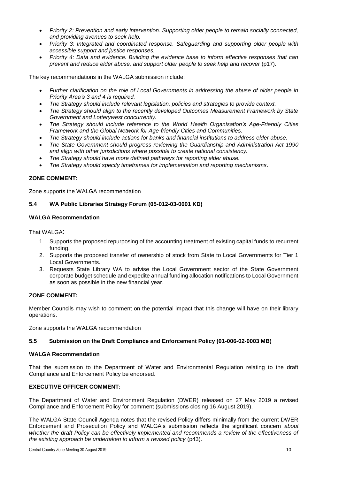- *Priority 2: Prevention and early intervention. Supporting older people to remain socially connected, and providing avenues to seek help.*
- *Priority 3: Integrated and coordinated response. Safeguarding and supporting older people with accessible support and justice responses.*
- *Priority 4: Data and evidence. Building the evidence base to inform effective responses that can prevent and reduce elder abuse, and support older people to seek help and recover* (p17).

The key recommendations in the WALGA submission include:

- *Further clarification on the role of Local Governments in addressing the abuse of older people in Priority Area's 3 and 4 is required.*
- *The Strategy should include relevant legislation, policies and strategies to provide context.*
- *The Strategy should align to the recently developed Outcomes Measurement Framework by State Government and Lotterywest concurrently.*
- *The Strategy should include reference to the World Health Organisation's Age-Friendly Cities Framework and the Global Network for Age-friendly Cities and Communities.*
- *The Strategy should include actions for banks and financial institutions to address elder abuse.*
- *The State Government should progress reviewing the Guardianship and Administration Act 1990 and align with other jurisdictions where possible to create national consistency.*
- *The Strategy should have more defined pathways for reporting elder abuse.*
- *The Strategy should specify timeframes for implementation and reporting mechanisms*.

#### **ZONE COMMENT:**

Zone supports the WALGA recommendation

#### **5.4 WA Public Libraries Strategy Forum (05-012-03-0001 KD)**

#### **WALGA Recommendation**

That WAI GA:

- 1. Supports the proposed repurposing of the accounting treatment of existing capital funds to recurrent funding.
- 2. Supports the proposed transfer of ownership of stock from State to Local Governments for Tier 1 Local Governments.
- 3. Requests State Library WA to advise the Local Government sector of the State Government corporate budget schedule and expedite annual funding allocation notifications to Local Government as soon as possible in the new financial year.

#### **ZONE COMMENT:**

Member Councils may wish to comment on the potential impact that this change will have on their library operations.

Zone supports the WALGA recommendation

#### **5.5 Submission on the Draft Compliance and Enforcement Policy (01-006-02-0003 MB)**

#### **WALGA Recommendation**

That the submission to the Department of Water and Environmental Regulation relating to the draft Compliance and Enforcement Policy be endorsed.

#### **EXECUTIVE OFFICER COMMENT:**

The Department of Water and Environment Regulation (DWER) released on 27 May 2019 a revised Compliance and Enforcement Policy for comment (submissions closing 16 August 2019).

The WALGA State Council Agenda notes that the revised Policy differs minimally from the current DWER Enforcement and Prosecution Policy and WALGA's submission reflects the significant concern *about whether the draft Policy can be effectively implemented and recommends a review of the effectiveness of the existing approach be undertaken to inform a revised policy* (p43).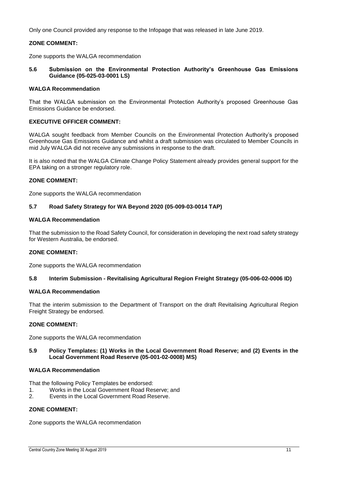Only one Council provided any response to the Infopage that was released in late June 2019.

#### **ZONE COMMENT:**

Zone supports the WALGA recommendation

**5.6 Submission on the Environmental Protection Authority's Greenhouse Gas Emissions Guidance (05-025-03-0001 LS)**

#### **WALGA Recommendation**

That the WALGA submission on the Environmental Protection Authority's proposed Greenhouse Gas Emissions Guidance be endorsed.

#### **EXECUTIVE OFFICER COMMENT:**

WALGA sought feedback from Member Councils on the Environmental Protection Authority's proposed Greenhouse Gas Emissions Guidance and whilst a draft submission was circulated to Member Councils in mid July WALGA did not receive any submissions in response to the draft.

It is also noted that the WALGA Climate Change Policy Statement already provides general support for the EPA taking on a stronger regulatory role.

#### **ZONE COMMENT:**

Zone supports the WALGA recommendation

#### **5.7 Road Safety Strategy for WA Beyond 2020 (05-009-03-0014 TAP)**

#### **WALGA Recommendation**

That the submission to the Road Safety Council, for consideration in developing the next road safety strategy for Western Australia, be endorsed.

#### **ZONE COMMENT:**

Zone supports the WALGA recommendation

#### **5.8 Interim Submission - Revitalising Agricultural Region Freight Strategy (05-006-02-0006 ID)**

#### **WALGA Recommendation**

That the interim submission to the Department of Transport on the draft Revitalising Agricultural Region Freight Strategy be endorsed.

#### **ZONE COMMENT:**

Zone supports the WALGA recommendation

#### **5.9 Policy Templates: (1) Works in the Local Government Road Reserve; and (2) Events in the Local Government Road Reserve (05-001-02-0008) MS)**

#### **WALGA Recommendation**

That the following Policy Templates be endorsed:

- 1. Works in the Local Government Road Reserve; and
- 2. Events in the Local Government Road Reserve.

#### **ZONE COMMENT:**

Zone supports the WALGA recommendation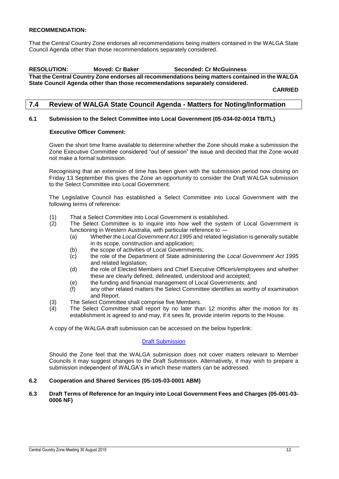#### **RECOMMENDATION:**

That the Central Country Zone endorses all recommendations being matters contained in the WALGA State Council Agenda other than those recommendations separately considered.

#### **RESOLUTION: Moved: Cr Baker Seconded: Cr McGuinness That the Central Country Zone endorses all recommendations being matters contained in the WALGA**

**State Council Agenda other than those recommendations separately considered.**

**CARRIED**

#### <span id="page-12-0"></span>**7.4 Review of WALGA State Council Agenda - Matters for Noting/Information**

#### **6.1 Submission to the Select Committee into Local Government (05-034-02-0014 TB/TL)**

#### **Executive Officer Comment:**

Given the short time frame available to determine whether the Zone should make a submission the Zone Executive Committee considered "out of session" the issue and decided that the Zone would not make a formal submission.

Recognising that an extension of time has been given with the submission period now closing on Friday 13 September this gives the Zone an opportunity to consider the Draft WALGA submission to the Select Committee into Local Government.

The Legislative Council has established a Select Committee into Local Government with the following terms of reference:

- (1) That a Select Committee into Local Government is established.
- (2) The Select Committee is to inquire into how well the system of Local Government is functioning in Western Australia, with particular reference to -
	- (a) Whether the *Local Government Act 1995* and related legislation is generally suitable in its scope, construction and application;
	- (b) the scope of activities of Local Governments;
	- (c) the role of the Department of State administering the *Local Government Act 1995* and related legislation;
	- (d) the role of Elected Members and Chief Executive Officers/employees and whether these are clearly defined, delineated, understood and accepted;
	- (e) the funding and financial management of Local Governments; and
	- (f) any other related matters the Select Committee identifies as worthy of examination and Report.
- (3) The Select Committee shall comprise five Members.<br>(4) The Select Committee shall report by no later tha
- The Select Committee shall report by no later than 12 months after the motion for its establishment is agreed to and may, if it sees fit, provide interim reports to the House.

A copy of the WALGA draft submission can be accessed on the below hyperlink:

#### [Draft Submission](https://asn.us3.list-manage.com/track/click?u=deaf6c84b27d6ba4ab394cdf0&id=33ab102b38&e=313656e5da)

Should the Zone feel that the WALGA submission does not cover matters relevant to Member Councils it may suggest changes to the Draft Submission. Alternatively, it may wish to prepare a submission independent of WALGA's in which these matters can be addressed.

#### **6.2 Cooperation and Shared Services (05-105-03-0001 ABM)**

#### **6.3 Draft Terms of Reference for an Inquiry into Local Government Fees and Charges (05-001-03- 0006 NF)**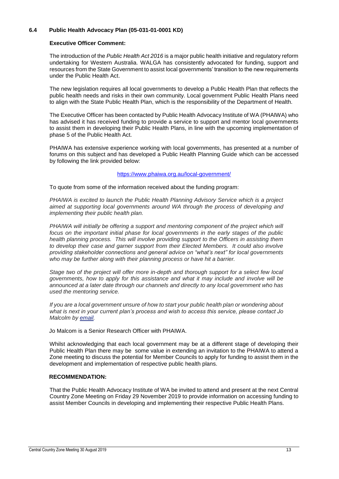#### **6.4 Public Health Advocacy Plan (05-031-01-0001 KD)**

#### **Executive Officer Comment:**

The introduction of the *Public Health Act 2016* is a major public health initiative and regulatory reform undertaking for Western Australia. WALGA has consistently advocated for funding, support and resources from the State Government to assist local governments' transition to the new requirements under the Public Health Act.

The new legislation requires all local governments to develop a Public Health Plan that reflects the public health needs and risks in their own community. Local government Public Health Plans need to align with the State Public Health Plan, which is the responsibility of the Department of Health.

The Executive Officer has been contacted by Public Health Advocacy Institute of WA (PHAIWA) who has advised it has received funding to provide a service to support and mentor local governments to assist them in developing their Public Health Plans, in line with the upcoming implementation of phase 5 of the Public Health Act.

PHAIWA has extensive experience working with local governments, has presented at a number of forums on this subject and has developed a Public Health Planning Guide which can be accessed by following the link provided below:

#### <https://www.phaiwa.org.au/local-government/>

To quote from some of the information received about the funding program:

*PHAIWA is excited to launch the Public Health Planning Advisory Service which is a project aimed at supporting local governments around WA through the process of developing and implementing their public health plan.*

*PHAIWA will initially be offering a support and mentoring component of the project which will focus on the important initial phase for local governments in the early stages of the public health planning process. This will involve providing support to the Officers in assisting them to develop their case and garner support from their Elected Members. It could also involve providing stakeholder connections and general advice on "what's next" for local governments who may be further along with their planning process or have hit a barrier.*

*Stage two of the project will offer more in-depth and thorough support for a select few local governments, how to apply for this assistance and what it may include and involve will be announced at a later date through our channels and directly to any local government who has used the mentoring service.*

*If you are a local government unsure of how to start your public health plan or wondering about what is next in your current plan's process and wish to access this service, please contact Jo Malcolm by [email.](mailto:jo.malcolm@curtin.edu.au)*

Jo Malcom is a Senior Research Officer with PHAIWA.

Whilst acknowledging that each local government may be at a different stage of developing their Public Health Plan there may be some value in extending an invitation to the PHAIWA to attend a Zone meeting to discuss the potential for Member Councils to apply for funding to assist them in the development and implementation of respective public health plans.

#### **RECOMMENDATION:**

That the Public Health Advocacy Institute of WA be invited to attend and present at the next Central Country Zone Meeting on Friday 29 November 2019 to provide information on accessing funding to assist Member Councils in developing and implementing their respective Public Health Plans.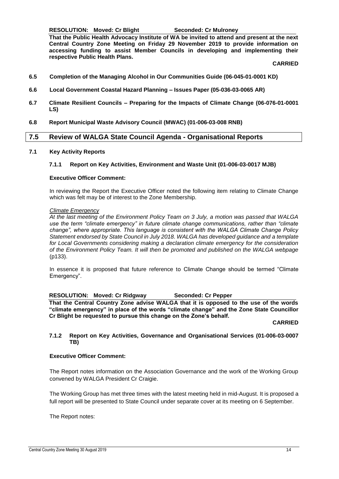**RESOLUTION: Moved: Cr Blight Seconded: Cr Mulroney**

**That the Public Health Advocacy Institute of WA be invited to attend and present at the next Central Country Zone Meeting on Friday 29 November 2019 to provide information on accessing funding to assist Member Councils in developing and implementing their respective Public Health Plans.**

**CARRIED**

- **6.5 Completion of the Managing Alcohol in Our Communities Guide (06-045-01-0001 KD)**
- **6.6 Local Government Coastal Hazard Planning – Issues Paper (05-036-03-0065 AR)**
- **6.7 Climate Resilient Councils – Preparing for the Impacts of Climate Change (06-076-01-0001 LS)**
- **6.8 Report Municipal Waste Advisory Council (MWAC) (01-006-03-008 RNB)**

#### <span id="page-14-0"></span>**7.5 Review of WALGA State Council Agenda - Organisational Reports**

#### **7.1 Key Activity Reports**

#### **7.1.1 Report on Key Activities, Environment and Waste Unit (01-006-03-0017 MJB)**

#### **Executive Officer Comment:**

In reviewing the Report the Executive Officer noted the following item relating to Climate Change which was felt may be of interest to the Zone Membership.

#### *Climate Emergency*

*At the last meeting of the Environment Policy Team on 3 July, a motion was passed that WALGA use the term "climate emergency" in future climate change communications, rather than "climate change", where appropriate. This language is consistent with the WALGA Climate Change Policy Statement endorsed by State Council in July 2018. WALGA has developed guidance and a template for Local Governments considering making a declaration climate emergency for the consideration of the Environment Policy Team. It will then be promoted and published on the WALGA webpage* (p133).

In essence it is proposed that future reference to Climate Change should be termed "Climate Emergency".

#### **RESOLUTION: Moved: Cr Ridgway Seconded: Cr Pepper**

**That the Central Country Zone advise WALGA that it is opposed to the use of the words "climate emergency" in place of the words "climate change" and the Zone State Councillor Cr Blight be requested to pursue this change on the Zone's behalf.**

**CARRIED**

#### **7.1.2 Report on Key Activities, Governance and Organisational Services (01-006-03-0007 TB)**

#### **Executive Officer Comment:**

The Report notes information on the Association Governance and the work of the Working Group convened by WALGA President Cr Craigie.

The Working Group has met three times with the latest meeting held in mid-August. It is proposed a full report will be presented to State Council under separate cover at its meeting on 6 September.

The Report notes: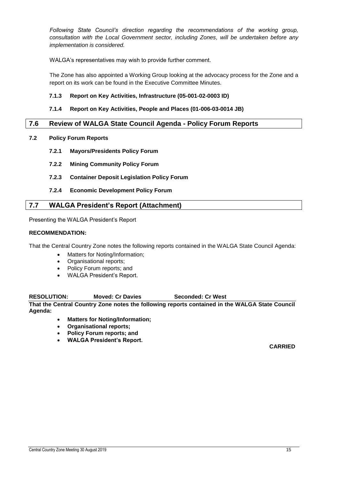*Following State Council's direction regarding the recommendations of the working group, consultation with the Local Government sector, including Zones, will be undertaken before any implementation is considered.*

WALGA's representatives may wish to provide further comment.

The Zone has also appointed a Working Group looking at the advocacy process for the Zone and a report on its work can be found in the Executive Committee Minutes.

#### **7.1.3 Report on Key Activities, Infrastructure (05-001-02-0003 ID)**

#### **7.1.4 Report on Key Activities, People and Places (01-006-03-0014 JB)**

#### <span id="page-15-0"></span>**7.6 Review of WALGA State Council Agenda - Policy Forum Reports**

- **7.2 Policy Forum Reports**
	- **7.2.1 Mayors/Presidents Policy Forum**
	- **7.2.2 Mining Community Policy Forum**
	- **7.2.3 Container Deposit Legislation Policy Forum**
	- **7.2.4 Economic Development Policy Forum**

#### <span id="page-15-1"></span>**7.7 WALGA President's Report (Attachment)**

Presenting the WALGA President's Report

#### **RECOMMENDATION:**

That the Central Country Zone notes the following reports contained in the WALGA State Council Agenda:

- Matters for Noting/Information;
- Organisational reports;
- Policy Forum reports; and
- WALGA President's Report.

#### **RESOLUTION: Moved: Cr Davies Seconded: Cr West**

**That the Central Country Zone notes the following reports contained in the WALGA State Council Agenda:**

- **Matters for Noting/Information;**
- **Organisational reports;**
- **Policy Forum reports; and**
- **WALGA President's Report.**

- 
- 
-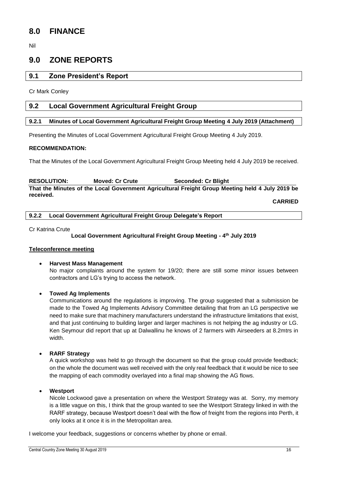## <span id="page-16-0"></span>**8.0 FINANCE**

Nil

## <span id="page-16-1"></span>**9.0 ZONE REPORTS**

#### <span id="page-16-2"></span>**9.1 Zone President's Report**

Cr Mark Conley

#### <span id="page-16-3"></span>**9.2 Local Government Agricultural Freight Group**

#### <span id="page-16-4"></span>**9.2.1 Minutes of Local Government Agricultural Freight Group Meeting 4 July 2019 (Attachment)**

Presenting the Minutes of Local Government Agricultural Freight Group Meeting 4 July 2019.

#### **RECOMMENDATION:**

That the Minutes of the Local Government Agricultural Freight Group Meeting held 4 July 2019 be received.

**RESOLUTION: Moved: Cr Crute Seconded: Cr Blight That the Minutes of the Local Government Agricultural Freight Group Meeting held 4 July 2019 be received.**

**CARRIED**

<span id="page-16-5"></span>**9.2.2 Local Government Agricultural Freight Group Delegate's Report**

Cr Katrina Crute

#### **Local Government Agricultural Freight Group Meeting - 4 th July 2019**

#### **Teleconference meeting**

 **Harvest Mass Management**  No major complaints around the system for 19/20; there are still some minor issues between contractors and LG's trying to access the network.

#### **Towed Ag Implements**

Communications around the regulations is improving. The group suggested that a submission be made to the Towed Ag Implements Advisory Committee detailing that from an LG perspective we need to make sure that machinery manufacturers understand the infrastructure limitations that exist, and that just continuing to building larger and larger machines is not helping the ag industry or LG. Ken Seymour did report that up at Dalwallinu he knows of 2 farmers with Airseeders at 8.2mtrs in width.

#### **RARF Strategy**

A quick workshop was held to go through the document so that the group could provide feedback; on the whole the document was well received with the only real feedback that it would be nice to see the mapping of each commodity overlayed into a final map showing the AG flows.

#### **Westport**

Nicole Lockwood gave a presentation on where the Westport Strategy was at. Sorry, my memory is a little vague on this, I think that the group wanted to see the Westport Strategy linked in with the RARF strategy, because Westport doesn't deal with the flow of freight from the regions into Perth, it only looks at it once it is in the Metropolitan area.

I welcome your feedback, suggestions or concerns whether by phone or email.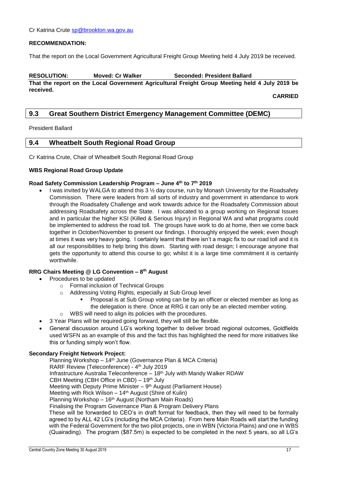#### **RECOMMENDATION:**

That the report on the Local Government Agricultural Freight Group Meeting held 4 July 2019 be received.

**RESOLUTION: Moved: Cr Walker Seconded: President Ballard That the report on the Local Government Agricultural Freight Group Meeting held 4 July 2019 be received.**

**CARRIED**

#### <span id="page-17-0"></span>**9.3 Great Southern District Emergency Management Committee (DEMC)**

President Ballard

#### <span id="page-17-1"></span>**9.4 Wheatbelt South Regional Road Group**

Cr Katrina Crute, Chair of Wheatbelt South Regional Road Group

#### **WBS Regional Road Group Update**

#### **Road Safety Commission Leadership Program – June 4th to 7th 2019**

I was invited by WALGA to attend this  $3 \frac{1}{2}$  day course, run by Monash University for the Roadsafety Commission. There were leaders from all sorts of industry and government in attendance to work through the Roadsafety Challenge and work towards advice for the Roadsafety Commission about addressing Roadsafety across the State. I was allocated to a group working on Regional Issues and in particular the higher KSI (Killed & Serious Injury) in Regional WA and what programs could be implemented to address the road toll. The groups have work to do at home, then we come back together in October/November to present our findings. I thoroughly enjoyed the week; even though at times it was very heavy going. I certainly learnt that there isn't a magic fix to our road toll and it is all our responsibilities to help bring this down. Starting with road design; I encourage anyone that gets the opportunity to attend this course to go; whilst it is a large time commitment it is certainly worthwhile.

#### **RRG Chairs Meeting @ LG Convention – 8 th August**

- Procedures to be updated
	- o Formal inclusion of Technical Groups
	- o Addressing Voting Rights, especially at Sub Group level
		- Proposal is at Sub Group voting can be by an officer or elected member as long as the delegation is there. Once at RRG it can only be an elected member voting.
	- o WBS will need to align its policies with the procedures.
- 3 Year Plans will be required going forward, they will still be flexible.
- General discussion around LG's working together to deliver broad regional outcomes, Goldfields used WSFN as an example of this and the fact this has highlighted the need for more initiatives like this or funding simply won't flow.

#### **Secondary Freight Network Project:**

Planning Workshop – 14th June (Governance Plan & MCA Criteria) RARF Review (Teleconference) - 4<sup>th</sup> July 2019 Infrastructure Australia Teleconference – 18th July with Mandy Walker RDAW CBH Meeting (CBH Office in CBD) – 19th July Meeting with Deputy Prime Minister - 9<sup>th</sup> August (Parliament House) Meeting with Rick Wilson - 14<sup>th</sup> August (Shire of Kulin) Planning Workshop – 16th August (Northam Main Roads) Finalising the Program Governance Plan & Program Delivery Plans These will be forwarded to CEO's in draft format for feedback, then they will need to be formally agreed to by ALL 42 LG's (including the MCA Criteria). From here Main Roads will start the funding with the Federal Government for the two pilot projects, one in WBN (Victoria Plains) and one in WBS (Quairading). The program (\$87.5m) is expected to be completed in the next 5 years, so all LG's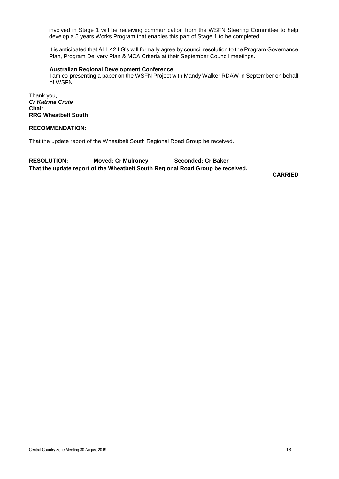involved in Stage 1 will be receiving communication from the WSFN Steering Committee to help develop a 5 years Works Program that enables this part of Stage 1 to be completed.

It is anticipated that ALL 42 LG's will formally agree by council resolution to the Program Governance Plan, Program Delivery Plan & MCA Criteria at their September Council meetings.

#### **Australian Regional Development Conference**

I am co-presenting a paper on the WSFN Project with Mandy Walker RDAW in September on behalf of WSFN.

Thank you, *Cr Katrina Crute* **Chair RRG Wheatbelt South**

#### **RECOMMENDATION:**

That the update report of the Wheatbelt South Regional Road Group be received.

**RESOLUTION: Moved: Cr Mulroney Seconded: Cr Baker That the update report of the Wheatbelt South Regional Road Group be received.**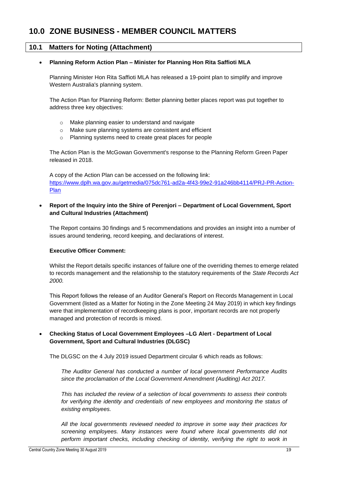## <span id="page-19-0"></span>**10.0 ZONE BUSINESS - MEMBER COUNCIL MATTERS**

#### <span id="page-19-1"></span>**10.1 Matters for Noting (Attachment)**

#### **Planning Reform Action Plan – Minister for Planning Hon Rita Saffioti MLA**

Planning Minister Hon Rita Saffioti MLA has released a 19-point plan to simplify and improve Western Australia's planning system.

The Action Plan for Planning Reform: Better planning better places report was put together to address three key objectives:

- o Make planning easier to understand and navigate
- o Make sure planning systems are consistent and efficient
- o Planning systems need to create great places for people

The Action Plan is the McGowan Government's response to the Planning Reform Green Paper released in 2018.

A copy of the Action Plan can be accessed on the following link: [https://www.dplh.wa.gov.au/getmedia/075dc761-ad2a-4f43-99e2-91a246bb4114/PRJ-PR-Action-](https://www.dplh.wa.gov.au/getmedia/075dc761-ad2a-4f43-99e2-91a246bb4114/PRJ-PR-Action-Plan)[Plan](https://www.dplh.wa.gov.au/getmedia/075dc761-ad2a-4f43-99e2-91a246bb4114/PRJ-PR-Action-Plan)

#### **Report of the Inquiry into the Shire of Perenjori – Department of Local Government, Sport and Cultural Industries (Attachment)**

The Report contains 30 findings and 5 recommendations and provides an insight into a number of issues around tendering, record keeping, and declarations of interest.

#### **Executive Officer Comment:**

Whilst the Report details specific instances of failure one of the overriding themes to emerge related to records management and the relationship to the statutory requirements of the *State Records Act 2000.* 

This Report follows the release of an Auditor General's Report on Records Management in Local Government (listed as a Matter for Noting in the Zone Meeting 24 May 2019) in which key findings were that implementation of recordkeeping plans is poor, important records are not properly managed and protection of records is mixed.

#### **Checking Status of Local Government Employees –LG Alert - Department of Local Government, Sport and Cultural Industries (DLGSC)**

The DLGSC on the 4 July 2019 issued Department circular 6 which reads as follows:

*The Auditor General has conducted a number of local government Performance Audits since the proclamation of the Local Government Amendment (Auditing) Act 2017.*

*This has included the review of a selection of local governments to assess their controls*  for verifying the identity and credentials of new employees and monitoring the status of *existing employees.*

*All the local governments reviewed needed to improve in some way their practices for screening employees. Many instances were found where local governments did not perform important checks, including checking of identity, verifying the right to work in*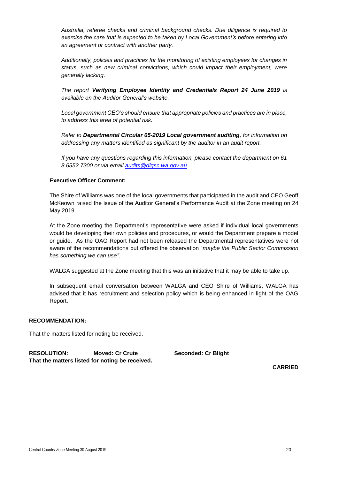*Australia, referee checks and criminal background checks. Due diligence is required to exercise the care that is expected to be taken by Local Government's before entering into an agreement or contract with another party.*

*Additionally, policies and practices for the monitoring of existing employees for changes in status, such as new criminal convictions, which could impact their employment, were generally lacking.*

*The report Verifying Employee Identity and Credentials Report 24 June 2019 is available on the Auditor General's website.*

*Local government CEO's should ensure that appropriate policies and practices are in place, to address this area of potential risk.*

*Refer to Departmental Circular 05-2019 Local government auditing, for information on addressing any matters identified as significant by the auditor in an audit report.* 

*If you have any questions regarding this information, please contact the department on 61 8 6552 7300 or via email [audits@dlgsc.wa.gov.au.](mailto:audits@dlgsc.wa.gov.au)*

#### **Executive Officer Comment:**

The Shire of Williams was one of the local governments that participated in the audit and CEO Geoff McKeown raised the issue of the Auditor General's Performance Audit at the Zone meeting on 24 May 2019.

At the Zone meeting the Department's representative were asked if individual local governments would be developing their own policies and procedures, or would the Department prepare a model or guide. As the OAG Report had not been released the Departmental representatives were not aware of the recommendations but offered the observation "*maybe the Public Sector Commission has something we can use"*.

WALGA suggested at the Zone meeting that this was an initiative that it may be able to take up.

In subsequent email conversation between WALGA and CEO Shire of Williams, WALGA has advised that it has recruitment and selection policy which is being enhanced in light of the OAG Report.

#### **RECOMMENDATION:**

That the matters listed for noting be received.

| <b>RESOLUTION:</b><br><b>Moved: Cr Crute</b> |                                                 | <b>Seconded: Cr Blight</b> |  |
|----------------------------------------------|-------------------------------------------------|----------------------------|--|
|                                              | That the matters listed for noting be received. |                            |  |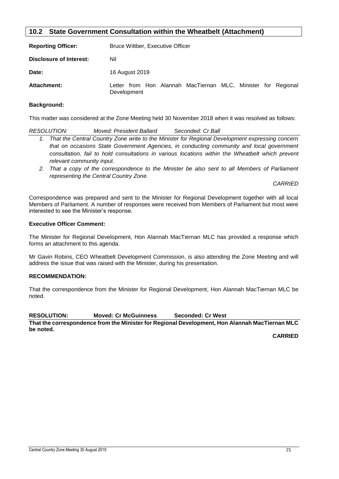#### <span id="page-21-0"></span>**10.2 State Government Consultation within the Wheatbelt (Attachment)**

| <b>Reporting Officer:</b> | Bruce Wittber, Executive Officer                                             |  |  |  |  |  |
|---------------------------|------------------------------------------------------------------------------|--|--|--|--|--|
| Disclosure of Interest:   | Nil                                                                          |  |  |  |  |  |
| Date:                     | 16 August 2019                                                               |  |  |  |  |  |
| Attachment:               | Letter from Hon Alannah MacTiernan MLC, Minister for Regional<br>Development |  |  |  |  |  |

#### **Background:**

This matter was considered at the Zone Meeting held 30 November 2018 when it was resolved as follows:

| <i>RESOLUTION:</i>                                                                                 | Moved: President Ballard | Seconded: Cr Ball |  |  |
|----------------------------------------------------------------------------------------------------|--------------------------|-------------------|--|--|
| 1. That the Central Country Zone write to the Minister for Regional Development expressing concern |                          |                   |  |  |
| that on occasions State Government Agencies, in conducting community and local government          |                          |                   |  |  |
| consultation, fail to hold consultations in various locations within the Wheatbelt which prevent   |                          |                   |  |  |
| relevant community input.                                                                          |                          |                   |  |  |

*2. That a copy of the correspondence to the Minister be also sent to all Members of Parliament representing the Central Country Zone.*

*CARRIED*

Correspondence was prepared and sent to the Minister for Regional Development together with all local Members of Parliament. A number of responses were received from Members of Parliament but most were interested to see the Minister's response.

#### **Executive Officer Comment:**

The Minister for Regional Development, Hon Alannah MacTiernan MLC has provided a response which forms an attachment to this agenda.

Mr Gavin Robins, CEO Wheatbelt Development Commission, is also attending the Zone Meeting and will address the issue that was raised with the Minister, during his presentation.

#### **RECOMMENDATION:**

That the correspondence from the Minister for Regional Development, Hon Alannah MacTiernan MLC be noted.

**RESOLUTION: Moved: Cr McGuinness Seconded: Cr West**

**That the correspondence from the Minister for Regional Development, Hon Alannah MacTiernan MLC be noted.**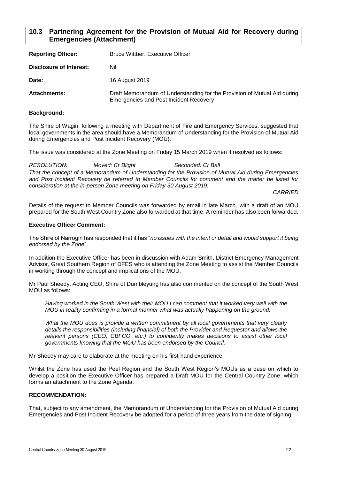#### <span id="page-22-0"></span>**10.3 Partnering Agreement for the Provision of Mutual Aid for Recovery during Emergencies (Attachment)**

| <b>Reporting Officer:</b> | <b>Bruce Wittber, Executive Officer</b>                                                                                   |  |  |
|---------------------------|---------------------------------------------------------------------------------------------------------------------------|--|--|
| Disclosure of Interest:   | Nil                                                                                                                       |  |  |
| Date:                     | 16 August 2019                                                                                                            |  |  |
| <b>Attachments:</b>       | Draft Memorandum of Understanding for the Provision of Mutual Aid during<br><b>Emergencies and Post Incident Recovery</b> |  |  |

#### **Background:**

The Shire of Wagin, following a meeting with Department of Fire and Emergency Services, suggested that local governments in the area should have a Memorandum of Understanding for the Provision of Mutual Aid during Emergencies and Post Incident Recovery (MOU).

The issue was considered at the Zone Meeting on Friday 15 March 2019 when it resolved as follows:

| <i>RESOLUTION:</i> | Moved: Cr Blight                                                      | Seconded: Cr Ball                                                                                    |  |
|--------------------|-----------------------------------------------------------------------|------------------------------------------------------------------------------------------------------|--|
|                    |                                                                       | That the concept of a Memorandum of Understanding for the Provision of Mutual Aid during Emergencies |  |
|                    |                                                                       | and Post Incident Recovery be referred to Member Councils for comment and the matter be listed for   |  |
|                    | consideration at the in-person Zone meeting on Friday 30 August 2019. |                                                                                                      |  |

*CARRIED*

Details of the request to Member Councils was forwarded by email in late March, with a draft of an MOU prepared for the South West Country Zone also forwarded at that time. A reminder has also been forwarded.

#### **Executive Officer Comment:**

The Shire of Narrogin has responded that it has "*no issues with the intent or detail and would support it being endorsed by the Zone*".

In addition the Executive Officer has been in discussion with Adam Smith, District Emergency Management Advisor, Great Southern Region of DFES who is attending the Zone Meeting to assist the Member Councils in working through the concept and implications of the MOU.

Mr Paul Sheedy, Acting CEO, Shire of Dumbleyung has also commented on the concept of the South West MOU as follows:

*Having worked in the South West with their MOU I can comment that it worked very well with the MOU in reality confirming in a formal manner what was actually happening on the ground.* 

*What the MOU does is provide a written commitment by all local governments that very clearly details the responsibilities (including financial) of both the Provider and Requester and allows the relevant persons (CEO, CBFCO, etc.) to confidently makes decisions to assist other local governments knowing that the MOU has been endorsed by the Council.*

Mr Sheedy may care to elaborate at the meeting on his first-hand experience.

Whilst the Zone has used the Peel Region and the South West Region's MOUs as a base on which to develop a position the Executive Officer has prepared a Draft MOU for the Central Country Zone, which forms an attachment to the Zone Agenda.

#### **RECOMMENDATION:**

That, subject to any amendment, the Memorandum of Understanding for the Provision of Mutual Aid during Emergencies and Post Incident Recovery be adopted for a period of three years from the date of signing.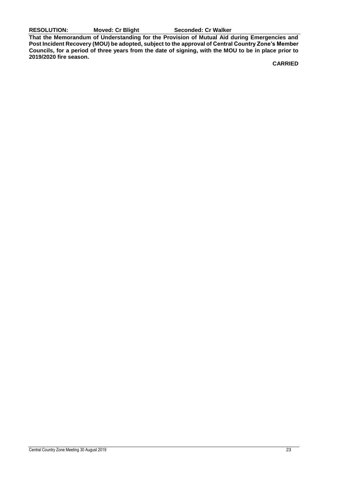**RESOLUTION: Moved: Cr Blight Seconded: Cr Walker**

**That the Memorandum of Understanding for the Provision of Mutual Aid during Emergencies and Post Incident Recovery (MOU) be adopted, subject to the approval of Central Country Zone's Member Councils, for a period of three years from the date of signing, with the MOU to be in place prior to 2019/2020 fire season.**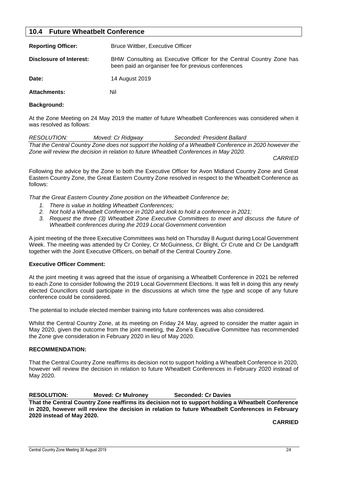#### <span id="page-24-0"></span>**10.4 Future Wheatbelt Conference**

| <b>Reporting Officer:</b> | <b>Bruce Wittber, Executive Officer</b>                                                                                     |
|---------------------------|-----------------------------------------------------------------------------------------------------------------------------|
| Disclosure of Interest:   | BHW Consulting as Executive Officer for the Central Country Zone has<br>been paid an organiser fee for previous conferences |
| Date:                     | 14 August 2019                                                                                                              |
| <b>Attachments:</b>       | Nil                                                                                                                         |

#### **Background:**

At the Zone Meeting on 24 May 2019 the matter of future Wheatbelt Conferences was considered when it was resolved as follows:

| <i>RESOLUTION:</i> | Moved: Cr Ridgway | Seconded: President Ballard                                                                              |  |
|--------------------|-------------------|----------------------------------------------------------------------------------------------------------|--|
|                    |                   | That the Central Country Zone does not support the holding of a Wheatbelt Conference in 2020 however the |  |
|                    |                   | Zone will review the decision in relation to future Wheatbelt Conferences in May 2020.                   |  |

*CARRIED*

Following the advice by the Zone to both the Executive Officer for Avon Midland Country Zone and Great Eastern Country Zone, the Great Eastern Country Zone resolved in respect to the Wheatbelt Conference as follows:

*That the Great Eastern Country Zone position on the Wheatbelt Conference be;*

- *1. There is value in holding Wheatbelt Conferences;*
- *2. Not hold a Wheatbelt Conference in 2020 and look to hold a conference in 2021;*
- *3. Request the three (3) Wheatbelt Zone Executive Committees to meet and discuss the future of Wheatbelt conferences during the 2019 Local Government convention*

A joint meeting of the three Executive Committees was held on Thursday 8 August during Local Government Week. The meeting was attended by Cr Conley, Cr McGuinness, Cr Blight, Cr Crute and Cr De Landgrafft together with the Joint Executive Officers, on behalf of the Central Country Zone.

#### **Executive Officer Comment:**

At the joint meeting it was agreed that the issue of organising a Wheatbelt Conference in 2021 be referred to each Zone to consider following the 2019 Local Government Elections. It was felt in doing this any newly elected Councillors could participate in the discussions at which time the type and scope of any future conference could be considered.

The potential to include elected member training into future conferences was also considered.

Whilst the Central Country Zone, at its meeting on Friday 24 May, agreed to consider the matter again in May 2020, given the outcome from the joint meeting, the Zone's Executive Committee has recommended the Zone give consideration in February 2020 in lieu of May 2020.

#### **RECOMMENDATION:**

That the Central Country Zone reaffirms its decision not to support holding a Wheatbelt Conference in 2020, however will review the decision in relation to future Wheatbelt Conferences in February 2020 instead of May 2020.

#### **RESOLUTION: Moved: Cr Mulroney Seconded: Cr Davies**

**That the Central Country Zone reaffirms its decision not to support holding a Wheatbelt Conference in 2020, however will review the decision in relation to future Wheatbelt Conferences in February 2020 instead of May 2020.**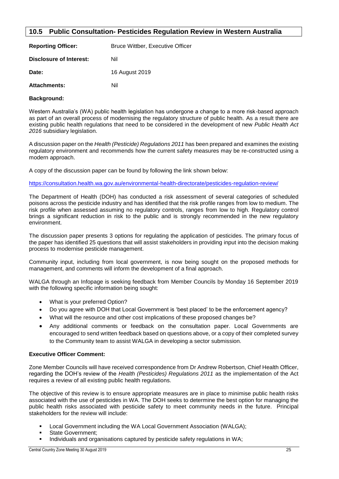#### <span id="page-25-0"></span>**10.5 Public Consultation- Pesticides Regulation Review in Western Australia**

| <b>Reporting Officer:</b> | <b>Bruce Wittber, Executive Officer</b> |
|---------------------------|-----------------------------------------|
| Disclosure of Interest:   | Nil                                     |
| Date:                     | 16 August 2019                          |
| <b>Attachments:</b>       | Nil                                     |

#### **Background:**

Western Australia's (WA) public health legislation has undergone a change to a more risk-based approach as part of an overall process of modernising the regulatory structure of public health. As a result there are existing public health regulations that need to be considered in the development of new *Public Health Act 2016* subsidiary legislation.

A discussion paper on the *Health (Pesticide) Regulations 2011* has been prepared and examines the existing regulatory environment and recommends how the current safety measures may be re-constructed using a modern approach.

A copy of the discussion paper can be found by following the link shown below:

<https://consultation.health.wa.gov.au/environmental-health-directorate/pesticides-regulation-review/>

The Department of Health (DOH) has conducted a risk assessment of several categories of scheduled poisons across the pesticide industry and has identified that the risk profile ranges from low to medium. The risk profile when assessed assuming no regulatory controls, ranges from low to high. Regulatory control brings a significant reduction in risk to the public and is strongly recommended in the new regulatory environment.

The discussion paper presents 3 options for regulating the application of pesticides. The primary focus of the paper has identified 25 questions that will assist stakeholders in providing input into the decision making process to modernise pesticide management.

Community input, including from local government, is now being sought on the proposed methods for management, and comments will inform the development of a final approach.

WALGA through an Infopage is seeking feedback from Member Councils by Monday 16 September 2019 with the following specific information being sought:

- What is your preferred Option?
- Do you agree with DOH that Local Government is 'best placed' to be the enforcement agency?
- What will the resource and other cost implications of these proposed changes be?
- Any additional comments or feedback on the consultation paper. Local Governments are encouraged to send written feedback based on questions above, or a copy of their completed survey to the Community team to assist WALGA in developing a sector submission.

#### **Executive Officer Comment:**

Zone Member Councils will have received correspondence from Dr Andrew Robertson, Chief Health Officer, regarding the DOH's review of the *Health (Pesticides) Regulations 2011* as the implementation of the Act requires a review of all existing public health regulations.

The objective of this review is to ensure appropriate measures are in place to minimise public health risks associated with the use of pesticides in WA. The DOH seeks to determine the best option for managing the public health risks associated with pesticide safety to meet community needs in the future. Principal stakeholders for the review will include:

- Local Government including the WA Local Government Association (WALGA);
- State Government;
- Individuals and organisations captured by pesticide safety regulations in WA;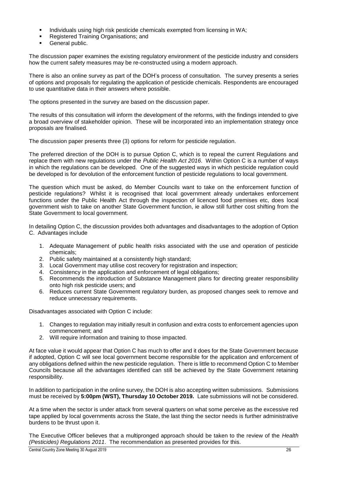- Individuals using high risk pesticide chemicals exempted from licensing in WA;
- Registered Training Organisations; and
- General public.

The discussion paper examines the existing regulatory environment of the pesticide industry and considers how the current safety measures may be re-constructed using a modern approach.

There is also an online survey as part of the DOH's process of consultation. The survey presents a series of options and proposals for regulating the application of pesticide chemicals. Respondents are encouraged to use quantitative data in their answers where possible.

The options presented in the survey are based on the discussion paper.

The results of this consultation will inform the development of the reforms, with the findings intended to give a broad overview of stakeholder opinion. These will be incorporated into an implementation strategy once proposals are finalised.

The discussion paper presents three (3) options for reform for pesticide regulation.

The preferred direction of the DOH is to pursue Option C, which is to repeal the current Regulations and replace them with new regulations under the *Public Health Act 2016*. Within Option C is a number of ways in which the regulations can be developed. One of the suggested ways in which pesticide regulation could be developed is for devolution of the enforcement function of pesticide regulations to local government.

The question which must be asked, do Member Councils want to take on the enforcement function of pesticide regulations? Whilst it is recognised that local government already undertakes enforcement functions under the Public Health Act through the inspection of licenced food premises etc, does local government wish to take on another State Government function, ie allow still further cost shifting from the State Government to local government.

In detailing Option C, the discussion provides both advantages and disadvantages to the adoption of Option C. Advantages include

- 1. Adequate Management of public health risks associated with the use and operation of pesticide chemicals;
- 2. Public safety maintained at a consistently high standard;
- 3. Local Government may utilise cost recovery for registration and inspection;
- 4. Consistency in the application and enforcement of legal obligations;
- 5. Recommends the introduction of Substance Management plans for directing greater responsibility onto high risk pesticide users; and
- 6. Reduces current State Government regulatory burden, as proposed changes seek to remove and reduce unnecessary requirements.

Disadvantages associated with Option C include:

- 1. Changes to regulation may initially result in confusion and extra costs to enforcement agencies upon commencement; and
- 2. Will require information and training to those impacted.

At face value it would appear that Option C has much to offer and it does for the State Government because if adopted, Option C will see local government become responsible for the application and enforcement of any obligations defined within the new pesticide regulation. There is little to recommend Option C to Member Councils because all the advantages identified can still be achieved by the State Government retaining responsibility.

In addition to participation in the online survey, the DOH is also accepting written submissions. Submissions must be received by **5:00pm (WST), Thursday 10 October 2019.** Late submissions will not be considered.

At a time when the sector is under attack from several quarters on what some perceive as the excessive red tape applied by local governments across the State, the last thing the sector needs is further administrative burdens to be thrust upon it.

The Executive Officer believes that a multipronged approach should be taken to the review of the *Health (Pesticides) Regulations 2011*. The recommendation as presented provides for this.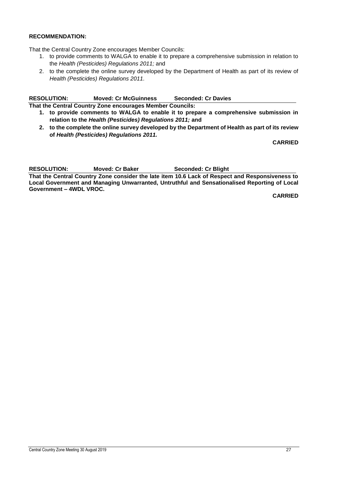#### **RECOMMENDATION:**

That the Central Country Zone encourages Member Councils:

- 1. to provide comments to WALGA to enable it to prepare a comprehensive submission in relation to the *Health (Pesticides) Regulations 2011;* and
- 2. to the complete the online survey developed by the Department of Health as part of its review of *Health (Pesticides) Regulations 2011.*

#### **RESOLUTION: Moved: Cr McGuinness Seconded: Cr Davies**

**That the Central Country Zone encourages Member Councils:**

- **1. to provide comments to WALGA to enable it to prepare a comprehensive submission in relation to the** *Health (Pesticides) Regulations 2011;* **and**
- **2. to the complete the online survey developed by the Department of Health as part of its review of** *Health (Pesticides) Regulations 2011.*

**CARRIED**

**RESOLUTION: Moved: Cr Baker Seconded: Cr Blight**

**That the Central Country Zone consider the late item 10.6 Lack of Respect and Responsiveness to Local Government and Managing Unwarranted, Untruthful and Sensationalised Reporting of Local Government – 4WDL VROC.**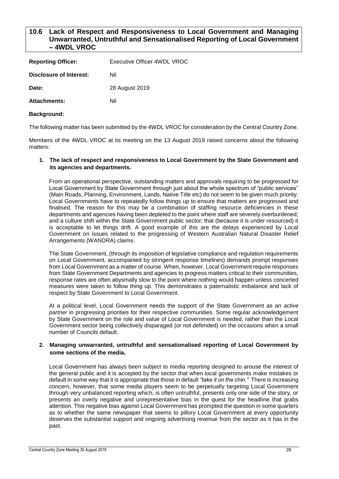#### <span id="page-28-0"></span>**10.6 Lack of Respect and Responsiveness to Local Government and Managing Unwarranted, Untruthful and Sensationalised Reporting of Local Government – 4WDL VROC**

| <b>Reporting Officer:</b> | Executive Officer 4WDL VROC |
|---------------------------|-----------------------------|
| Disclosure of Interest:   | Nil                         |
| Date:                     | 28 August 2019              |
| <b>Attachments:</b>       | Nil                         |
|                           |                             |

#### **Background:**

The following matter has been submitted by the 4WDL VROC for consideration by the Central Country Zone.

Members of the 4WDL VROC at its meeting on the 13 August 2019 raised concerns about the following matters:

#### **1. The lack of respect and responsiveness to Local Government by the State Government and its agencies and departments.**

From an operational perspective, outstanding matters and approvals requiring to be progressed for Local Government by State Government through just about the whole spectrum of "public services" (Main Roads, Planning, Environment, Lands, Native Title etc) do not seem to be given much priority. Local Governments have to repeatedly follow things up to ensure that matters are progressed and finalised. The reason for this may be a combination of staffing resource deficiencies in these departments and agencies having been depleted to the point where staff are severely overburdened; and a culture shift within the State Government public sector; that (because it is under resourced) it is acceptable to let things drift. A good example of this are the delays experienced by Local Government on issues related to the progressing of Western Australian Natural Disaster Relief Arrangements (WANDRA) claims.

The State Government, (through its imposition of legislative compliance and regulation requirements on Local Government, accompanied by stringent response timelines) demands prompt responses from Local Government as a matter of course. When, however, Local Government require responses from State Government Departments and agencies to progress matters critical to their communities, response rates are often abysmally slow to the point where nothing would happen unless concerted measures were taken to follow thing up. This demonstrates a paternalistic imbalance and lack of respect by State Government to Local Government.

At a political level, Local Government needs the support of the State Government as an *active partner* in progressing priorities for their respective communities. Some regular acknowledgement by State Government on the role and value of Local Government is needed, rather than the Local Government sector being collectively disparaged (or not defended) on the occasions when a small number of Councils default.

#### **2. Managing unwarranted, untruthful and sensationalised reporting of Local Government by some sections of the media.**

Local Government has always been subject to media reporting designed to arouse the interest of the general public and it is accepted by the sector that when local governments make mistakes or default in some way that it is appropriate that those in default *"take it on the chin."* There is increasing concern, however, that some media players seem to be perpetually targeting Local Government through very unbalanced reporting which, is often untruthful, presents only one side of the story, or presents an overly negative and unrepresentative bias in the quest for the headline that grabs attention. This negative bias against Local Government has prompted the question in some quarters as to whether the same newspaper that seems to pillory Local Government at every opportunity deserves the substantial support and ongoing advertising revenue from the sector as it has in the past.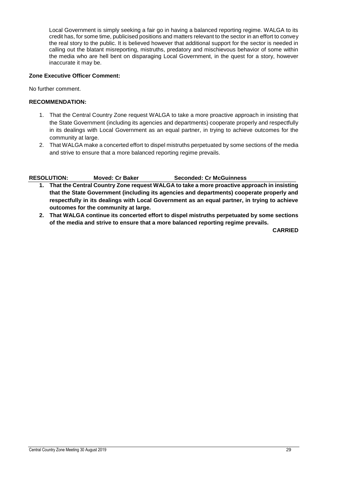Local Government is simply seeking a fair go in having a balanced reporting regime. WALGA to its credit has, for some time, publicised positions and matters relevant to the sector in an effort to convey the real story to the public. It is believed however that additional support for the sector is needed in calling out the blatant misreporting, mistruths, predatory and mischievous behavior of some within the media who are hell bent on disparaging Local Government, in the quest for a story, however inaccurate it may be.

#### **Zone Executive Officer Comment:**

No further comment.

#### **RECOMMENDATION:**

- 1. That the Central Country Zone request WALGA to take a more proactive approach in insisting that the State Government (including its agencies and departments) cooperate properly and respectfully in its dealings with Local Government as an equal partner, in trying to achieve outcomes for the community at large.
- 2. That WALGA make a concerted effort to dispel mistruths perpetuated by some sections of the media and strive to ensure that a more balanced reporting regime prevails.

#### **RESOLUTION: Moved: Cr Baker Seconded: Cr McGuinness**

- **1. That the Central Country Zone request WALGA to take a more proactive approach in insisting that the State Government (including its agencies and departments) cooperate properly and respectfully in its dealings with Local Government as an equal partner, in trying to achieve outcomes for the community at large.**
- **2. That WALGA continue its concerted effort to dispel mistruths perpetuated by some sections of the media and strive to ensure that a more balanced reporting regime prevails.**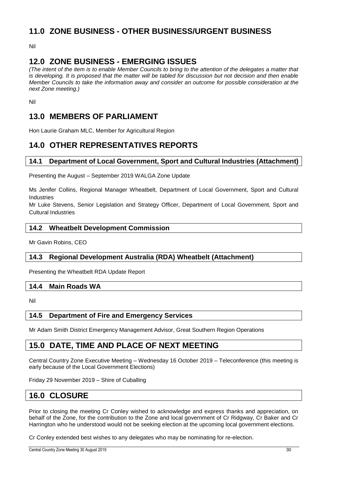## <span id="page-30-0"></span>**11.0 ZONE BUSINESS - OTHER BUSINESS/URGENT BUSINESS**

Nil

## <span id="page-30-1"></span>**12.0 ZONE BUSINESS - EMERGING ISSUES**

*(The intent of the item is to enable Member Councils to bring to the attention of the delegates a matter that is developing. It is proposed that the matter will be tabled for discussion but not decision and then enable Member Councils to take the information away and consider an outcome for possible consideration at the next Zone meeting.)*

Nil

## <span id="page-30-2"></span>**13.0 MEMBERS OF PARLIAMENT**

Hon Laurie Graham MLC, Member for Agricultural Region

## <span id="page-30-3"></span>**14.0 OTHER REPRESENTATIVES REPORTS**

#### <span id="page-30-4"></span>**14.1 Department of Local Government, Sport and Cultural Industries (Attachment)**

Presenting the August – September 2019 WALGA Zone Update

Ms Jenifer Collins, Regional Manager Wheatbelt, Department of Local Government, Sport and Cultural Industries

Mr Luke Stevens, Senior Legislation and Strategy Officer, Department of Local Government, Sport and Cultural Industries

#### <span id="page-30-5"></span>**14.2 Wheatbelt Development Commission**

Mr Gavin Robins, CEO

#### <span id="page-30-6"></span>**14.3 Regional Development Australia (RDA) Wheatbelt (Attachment)**

Presenting the Wheatbelt RDA Update Report

#### <span id="page-30-7"></span>**14.4 Main Roads WA**

Nil

#### <span id="page-30-8"></span>**14.5 Department of Fire and Emergency Services**

Mr Adam Smith District Emergency Management Advisor, Great Southern Region Operations

## <span id="page-30-9"></span>**15.0 DATE, TIME AND PLACE OF NEXT MEETING**

Central Country Zone Executive Meeting – Wednesday 16 October 2019 – Teleconference (this meeting is early because of the Local Government Elections)

Friday 29 November 2019 – Shire of Cuballing

## <span id="page-30-10"></span>**16.0 CLOSURE**

Prior to closing the meeting Cr Conley wished to acknowledge and express thanks and appreciation, on behalf of the Zone, for the contribution to the Zone and local government of Cr Ridgway, Cr Baker and Cr Harrington who he understood would not be seeking election at the upcoming local government elections.

Cr Conley extended best wishes to any delegates who may be nominating for re-election.